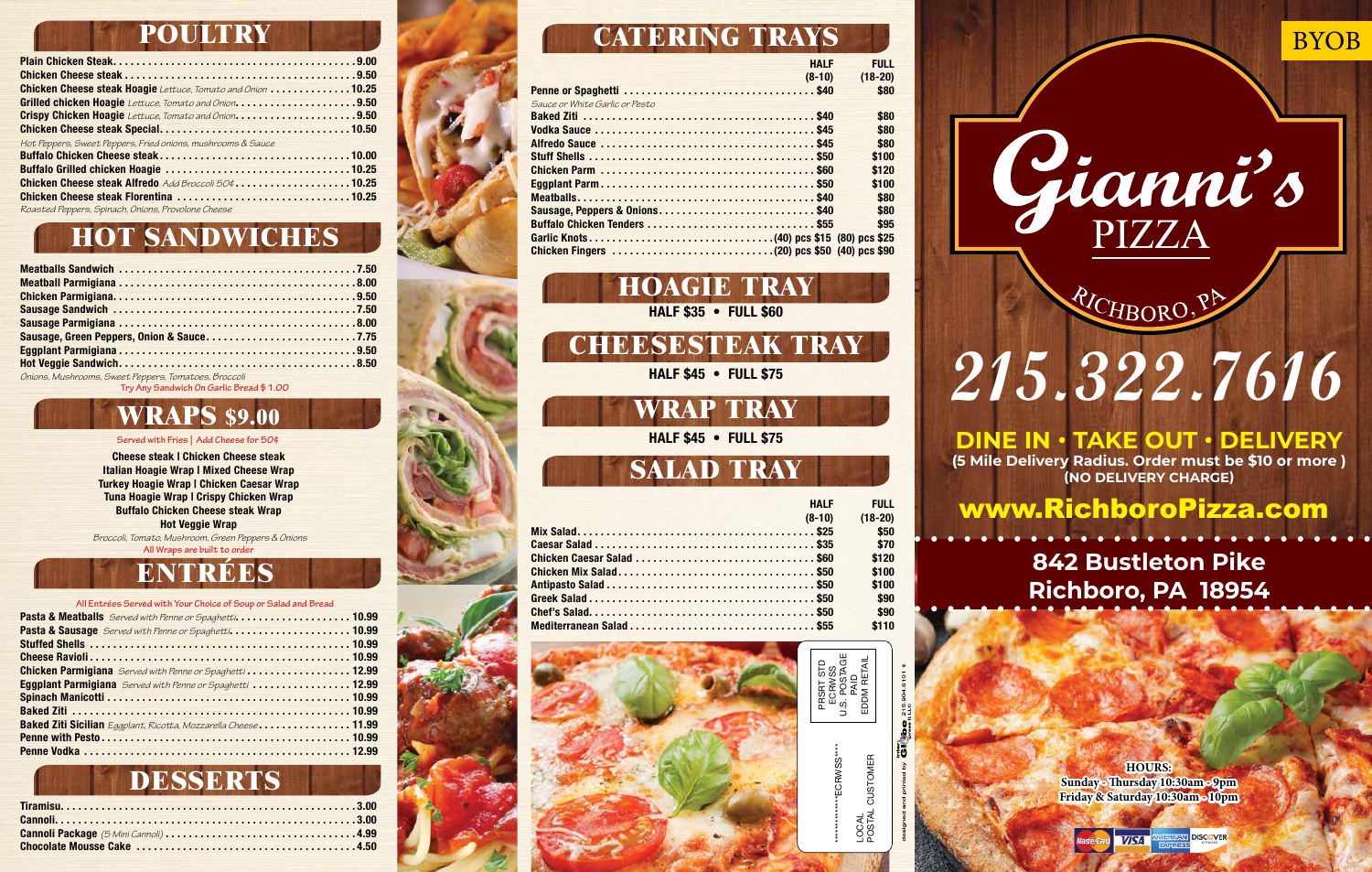

Gianni's

RICHBORO, PA

## **842 Bustleton Pike Richboro, PA 18954**

## www.RichboroPizza.com

**EHLL** 

**DINE IN • TAKE OUT • DELIVERY (5 Mile Delivery Radius. Order must be \$10 or more ) (NO DELIVERY CHARGE)**

> **HOURS: Sunday - Thursday 10:30am - 9pm Friday & Saturday 10:30am - 10pm**

> > AN DISCOVER **VISA**

### **POULTRY**

| Chicken Cheese steak Hoagie Lettuce, Tomato and Onion 10.25                                |  |
|--------------------------------------------------------------------------------------------|--|
|                                                                                            |  |
| Crispy Chicken Hoagie Lettuce, Tomato and Onion9.50                                        |  |
|                                                                                            |  |
| Hot Peppers, Sweet Peppers, Fried onions, mushrooms & Sauce<br><u> Andrew Maria (1989)</u> |  |
|                                                                                            |  |
|                                                                                            |  |
| Chicken Cheese steak Alfredo Add Broccoli 50¢10.25                                         |  |
|                                                                                            |  |
| Roacted Represent Guinzch Onione Republica Chapce                                          |  |

*Roasted Peppers, Spinach, Onions, Provolone Cheese*

**HOAGIE TRAY** HALF \$35 • FULL \$60

**CHEESESTEAK TRAY**

HALF \$45 • FULL \$75

**WRAP TRAY** HALF \$45 • FULL \$75

## **SALAD TRAY**

| <b>HALF</b>                | <b>FULL</b> |
|----------------------------|-------------|
| $(8-10)$                   | $(18-20)$   |
|                            | \$50        |
|                            | \$70        |
| Chicken Caesar Salad  \$60 | \$120       |
|                            | \$100       |
|                            | \$100       |
|                            | \$90        |
|                            | \$90        |
| Mediterranean Salad  \$55  | \$110       |

# **HOT SANDWICHES**

| Sausage, Green Peppers, Onion & Sauce7.75            |  |
|------------------------------------------------------|--|
|                                                      |  |
|                                                      |  |
| Onions, Mushrooms, Sweet Peppers, Tomatoes, Broccoli |  |

**Try Any Sandwich On Garlic Bread \$1.00**

### **ENTRÉES**

#### **All Entrées Served with Your Choice of Soup or Salad and Bread**

| Pasta & Meatballs Served with Penne or Spaghetti 10.99           |  |
|------------------------------------------------------------------|--|
| Pasta & Sausage Served with Penne or Spaghetti 10.99             |  |
|                                                                  |  |
|                                                                  |  |
| Chicken Parmigiana Served with Penne or Spaghetti  12.99         |  |
| <b>Eggplant Parmigiana</b> Served with Penne or Spaghetti  12.99 |  |
|                                                                  |  |
|                                                                  |  |
| Baked Ziti Sicilian Eggplant, Ricotta, Mozzarella Cheese 11.99   |  |
|                                                                  |  |
|                                                                  |  |

### **WRAPS \$9.00**

#### **Served with Fries | Add Cheese for 50¢**

Cheese steak | Chicken Cheese steak Italian Hoagie Wrap | Mixed Cheese Wrap Turkey Hoagie Wrap | Chicken Caesar Wrap Tuna Hoagie Wrap | Crispy Chicken Wrap Buffalo Chicken Cheese steak Wrap Hot Veggie Wrap

*Broccoli, Tomato, Mushroom, Green Peppers & Onions* **All Wraps are built to order**

### **DESSERTS**

## **CATERING TRAYS**

|                                | 11.NLI | .         |
|--------------------------------|--------|-----------|
| $(8-10)$                       |        | $(18-20)$ |
|                                |        | \$80      |
| Sauce or White Garlic or Pesto |        |           |
|                                |        | \$80      |
|                                |        | \$80      |
|                                |        | \$80      |
|                                |        | \$100     |
|                                |        | \$120     |
|                                |        | \$100     |
|                                |        | \$80      |
| Sausage, Peppers & Onions\$40  |        | \$80      |
|                                |        | \$95      |
|                                |        |           |
|                                |        |           |